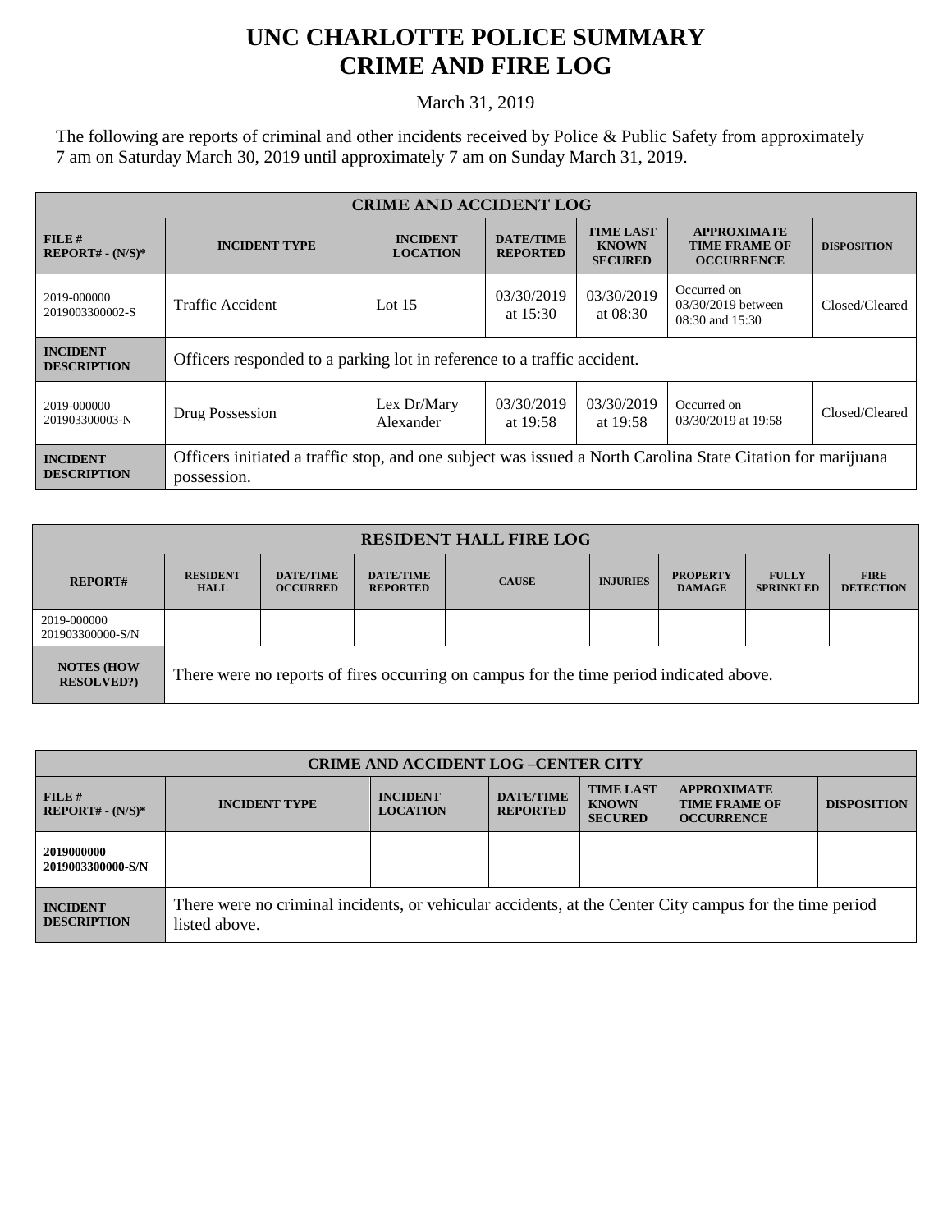## **UNC CHARLOTTE POLICE SUMMARY CRIME AND FIRE LOG**

March 31, 2019

The following are reports of criminal and other incidents received by Police & Public Safety from approximately 7 am on Saturday March 30, 2019 until approximately 7 am on Sunday March 31, 2019.

| <b>CRIME AND ACCIDENT LOG</b>         |                                                                                                                            |                                    |                                     |                                                    |                                                                 |                    |
|---------------------------------------|----------------------------------------------------------------------------------------------------------------------------|------------------------------------|-------------------------------------|----------------------------------------------------|-----------------------------------------------------------------|--------------------|
| FILE#<br>$REPORT# - (N/S)*$           | <b>INCIDENT TYPE</b>                                                                                                       | <b>INCIDENT</b><br><b>LOCATION</b> | <b>DATE/TIME</b><br><b>REPORTED</b> | <b>TIME LAST</b><br><b>KNOWN</b><br><b>SECURED</b> | <b>APPROXIMATE</b><br><b>TIME FRAME OF</b><br><b>OCCURRENCE</b> | <b>DISPOSITION</b> |
| 2019-000000<br>2019003300002-S        | <b>Traffic Accident</b>                                                                                                    | Lot $15$                           | 03/30/2019<br>at $15:30$            | 03/30/2019<br>at $08:30$                           | Occurred on<br>03/30/2019 between<br>08:30 and 15:30            | Closed/Cleared     |
| <b>INCIDENT</b><br><b>DESCRIPTION</b> | Officers responded to a parking lot in reference to a traffic accident.                                                    |                                    |                                     |                                                    |                                                                 |                    |
| 2019-000000<br>201903300003-N         | Drug Possession                                                                                                            | Lex Dr/Mary<br>Alexander           | 03/30/2019<br>at 19:58              | 03/30/2019<br>at 19:58                             | Occurred on<br>03/30/2019 at 19:58                              | Closed/Cleared     |
| <b>INCIDENT</b><br><b>DESCRIPTION</b> | Officers initiated a traffic stop, and one subject was issued a North Carolina State Citation for marijuana<br>possession. |                                    |                                     |                                                    |                                                                 |                    |

| <b>RESIDENT HALL FIRE LOG</b>         |                                                                                         |                                     |                                     |              |                 |                                  |                                  |                                 |
|---------------------------------------|-----------------------------------------------------------------------------------------|-------------------------------------|-------------------------------------|--------------|-----------------|----------------------------------|----------------------------------|---------------------------------|
| <b>REPORT#</b>                        | <b>RESIDENT</b><br><b>HALL</b>                                                          | <b>DATE/TIME</b><br><b>OCCURRED</b> | <b>DATE/TIME</b><br><b>REPORTED</b> | <b>CAUSE</b> | <b>INJURIES</b> | <b>PROPERTY</b><br><b>DAMAGE</b> | <b>FULLY</b><br><b>SPRINKLED</b> | <b>FIRE</b><br><b>DETECTION</b> |
| 2019-000000<br>201903300000-S/N       |                                                                                         |                                     |                                     |              |                 |                                  |                                  |                                 |
| <b>NOTES (HOW</b><br><b>RESOLVED?</b> | There were no reports of fires occurring on campus for the time period indicated above. |                                     |                                     |              |                 |                                  |                                  |                                 |

| <b>CRIME AND ACCIDENT LOG-CENTER CITY</b> |                                                                                                                          |                                    |                                     |                                                    |                                                                 |                    |  |
|-------------------------------------------|--------------------------------------------------------------------------------------------------------------------------|------------------------------------|-------------------------------------|----------------------------------------------------|-----------------------------------------------------------------|--------------------|--|
| FILE#<br>$REPORT# - (N/S)*$               | <b>INCIDENT TYPE</b>                                                                                                     | <b>INCIDENT</b><br><b>LOCATION</b> | <b>DATE/TIME</b><br><b>REPORTED</b> | <b>TIME LAST</b><br><b>KNOWN</b><br><b>SECURED</b> | <b>APPROXIMATE</b><br><b>TIME FRAME OF</b><br><b>OCCURRENCE</b> | <b>DISPOSITION</b> |  |
| 2019000000<br>2019003300000-S/N           |                                                                                                                          |                                    |                                     |                                                    |                                                                 |                    |  |
| <b>INCIDENT</b><br><b>DESCRIPTION</b>     | There were no criminal incidents, or vehicular accidents, at the Center City campus for the time period<br>listed above. |                                    |                                     |                                                    |                                                                 |                    |  |